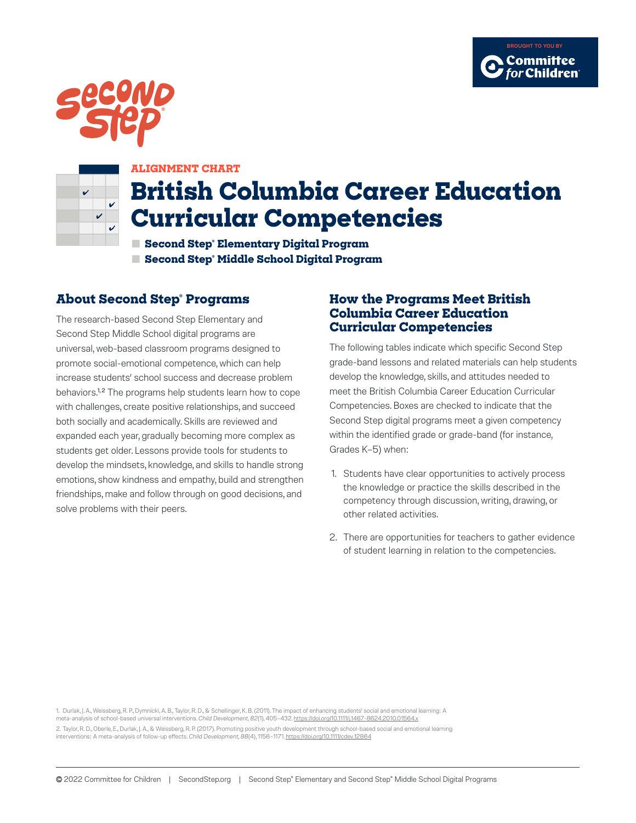





#### **ALIGNMENT CHART**

# **British Columbia Career Education Curricular Competencies**

**■ Second Step® Elementary Digital Program ■ Second Step® Middle School Digital Program**

# **About Second Step® Programs**

The research-based Second Step Elementary and Second Step Middle School digital programs are universal, web-based classroom programs designed to promote social-emotional competence, which can help increase students' school success and decrease problem behaviors.<sup>1,2</sup> The programs help students learn how to cope with challenges, create positive relationships, and succeed both socially and academically. Skills are reviewed and expanded each year, gradually becoming more complex as students get older. Lessons provide tools for students to develop the mindsets, knowledge, and skills to handle strong emotions, show kindness and empathy, build and strengthen friendships, make and follow through on good decisions, and solve problems with their peers.

### **How the Programs Meet British Columbia Career Education Curricular Competencies**

The following tables indicate which specific Second Step grade-band lessons and related materials can help students develop the knowledge, skills, and attitudes needed to meet the British Columbia Career Education Curricular Competencies. Boxes are checked to indicate that the Second Step digital programs meet a given competency within the identified grade or grade-band (for instance, Grades K–5) when:

- 1. Students have clear opportunities to actively process the knowledge or practice the skills described in the competency through discussion, writing, drawing, or other related activities.
- 2. There are opportunities for teachers to gather evidence of student learning in relation to the competencies.

1. Durlak, J. A., Weissberg, R. P., Dymnicki, A. B., Taylor, R. D., & Schellinger, K. B. (2011). The impact of enhancing students' social and emotional learning: A meta-analysis of school-based universal interventions. *Child Development, 82*(1), 405–432. <https://doi.org/10.1111/j.1467-8624.2010.01564.x> 2. Taylor, R. D., Oberle, E., Durlak, J. A., & Weissberg, R. P. (2017). Promoting positive youth development through school-based social and emotional learning interventions: A meta-analysis of follow-up effects. *Child Development, 88*(4), 1156–1171.<https://doi.org/10.1111/cdev.12864>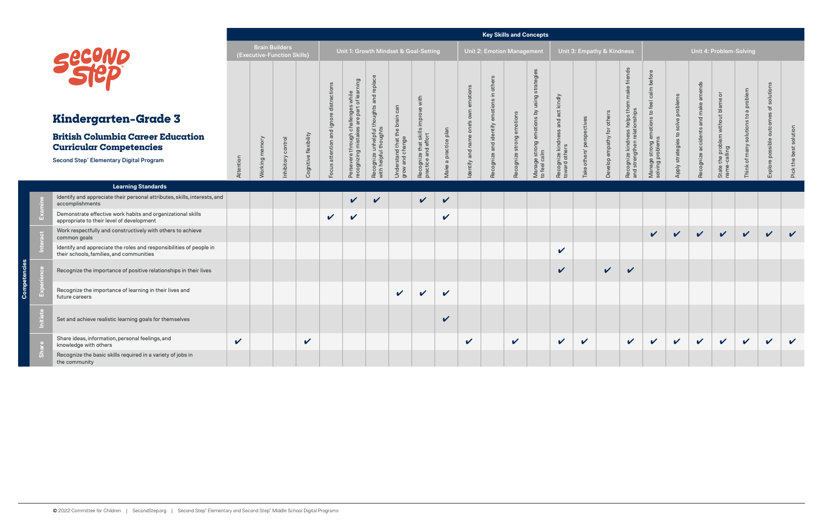|  |                                                                                                                              |                            |                |                                                      |                       |                  |                                            |                                                           |                                                     |                                              |                            |                                         | <b>Key Skills and Concepts</b>     |                     |                                       |                                     |                            |                        |                                                                      |                                          |                   |                     |                                                     |                        |                  |                            |  |
|--|------------------------------------------------------------------------------------------------------------------------------|----------------------------|----------------|------------------------------------------------------|-----------------------|------------------|--------------------------------------------|-----------------------------------------------------------|-----------------------------------------------------|----------------------------------------------|----------------------------|-----------------------------------------|------------------------------------|---------------------|---------------------------------------|-------------------------------------|----------------------------|------------------------|----------------------------------------------------------------------|------------------------------------------|-------------------|---------------------|-----------------------------------------------------|------------------------|------------------|----------------------------|--|
|  |                                                                                                                              |                            |                | <b>Brain Builders</b><br>(Executive-Function Skills) |                       |                  |                                            |                                                           |                                                     | Unit 1: Growth Mindset & Goal-Setting        |                            |                                         | <b>Unit 2: Emotion Management</b>  |                     |                                       |                                     | Unit 3: Empathy & Kindness |                        |                                                                      | Unit 4: Problem-Solving                  |                   |                     |                                                     |                        |                  |                            |  |
|  |                                                                                                                              |                            |                |                                                      |                       | ㅎ                | s while<br>of learning                     | replace                                                   | can                                                 | improve with                                 |                            | emotion                                 | others                             |                     | strategies<br>using                   |                                     |                            |                        | make friends<br>them                                                 | before<br>calm<br>feel                   | to solve problems | ends<br>am<br>make  | $\overline{5}$                                      | solutions to a problem | solutions        |                            |  |
|  | <b>Kindergarten-Grade 3</b>                                                                                                  |                            |                |                                                      |                       | ignore           | iallenges<br>are part c<br>challenge       |                                                           | $\mathrel{\mathop{\sqsubseteq}}$<br>brai            |                                              |                            | own<br>$\tilde{\boldsymbol{\omega}}$    |                                    | emotions            |                                       | and act kindly<br>emotions by       |                            | others                 | iships<br>helps                                                      | $\overline{c}$<br>emotions               |                   | and                 |                                                     |                        | outcomes         |                            |  |
|  | <b>British Columbia Career Education</b><br><b>Curricular Competencies</b><br><b>Second Step® Elementary Digital Program</b> |                            | Working memory | nhibitory control                                    | Cognitive flexibility | and<br>attention | ersevere through ch<br>ecognizing mistakes | Recognize unhelpful thoughts and<br>with helpful thoughts | that the I<br>Understand that th<br>grow and change | Recognize that skills<br>practice and effort | a practice plan            | one <sup>1</sup><br>name<br>dentify and | Recognize and identify emotions in | strong<br>Recognize | strong<br>Manage stro<br>to feel calm | Recognize kindness<br>toward others | others' perspectives       | for<br>Develop empathy | kindness<br>Ithen relati<br>Recognize <b>I</b><br>and strengt<br>eng | ທ<br>Manage strong e<br>solving problems | Apply strategies  | Recognize accidents | problem without blame<br>$\overline{g}$<br>듦<br>the | many                   | Explore possible | solution<br>Pick the best  |  |
|  |                                                                                                                              | Attention                  |                |                                                      |                       | snoo             | Per                                        |                                                           |                                                     |                                              | Make                       |                                         |                                    |                     |                                       |                                     | Take                       |                        |                                                                      |                                          |                   |                     | State                                               | Think of I             |                  |                            |  |
|  | <b>Learning Standards</b>                                                                                                    |                            |                |                                                      |                       |                  |                                            |                                                           |                                                     |                                              |                            |                                         |                                    |                     |                                       |                                     |                            |                        |                                                                      |                                          |                   |                     |                                                     |                        |                  |                            |  |
|  | Identify and appreciate their personal attributes, skills, interests, and<br>accomplishments                                 |                            |                |                                                      |                       |                  | V                                          | $\boldsymbol{\mathcal{U}}$                                |                                                     | $\sqrt{2}$                                   | $\checkmark$               |                                         |                                    |                     |                                       |                                     |                            |                        |                                                                      |                                          |                   |                     |                                                     |                        |                  |                            |  |
|  | Demonstrate effective work habits and organizational skills<br>appropriate to their level of development                     |                            |                |                                                      |                       | $\checkmark$     | V                                          |                                                           |                                                     |                                              | $\boldsymbol{\mathcal{U}}$ |                                         |                                    |                     |                                       |                                     |                            |                        |                                                                      |                                          |                   |                     |                                                     |                        |                  |                            |  |
|  | Work respectfully and constructively with others to achieve<br>common goals                                                  |                            |                |                                                      |                       |                  |                                            |                                                           |                                                     |                                              |                            |                                         |                                    |                     |                                       |                                     |                            |                        |                                                                      | $\checkmark$                             | $\mathbf{v}$      | $\vee$              | $\vee$                                              | $\vert$ $\vert$        | $\mathbf{v}$     | $\mathbf v$                |  |
|  | Identify and appreciate the roles and responsibilities of people in<br>their schools, families, and communities              |                            |                |                                                      |                       |                  |                                            |                                                           |                                                     |                                              |                            |                                         |                                    |                     |                                       | $\checkmark$                        |                            |                        |                                                                      |                                          |                   |                     |                                                     |                        |                  |                            |  |
|  | Recognize the importance of positive relationships in their lives                                                            |                            |                |                                                      |                       |                  |                                            |                                                           |                                                     |                                              |                            |                                         |                                    |                     |                                       | $\checkmark$                        |                            | $\vee$                 | $\checkmark$                                                         |                                          |                   |                     |                                                     |                        |                  |                            |  |
|  | Recognize the importance of learning in their lives and<br>future careers                                                    |                            |                |                                                      |                       |                  |                                            |                                                           | $\checkmark$                                        | $\boldsymbol{\mathcal{U}}$                   | $\mathbf v$                |                                         |                                    |                     |                                       |                                     |                            |                        |                                                                      |                                          |                   |                     |                                                     |                        |                  |                            |  |
|  | Set and achieve realistic learning goals for themselves                                                                      |                            |                |                                                      |                       |                  |                                            |                                                           |                                                     |                                              | ✓                          |                                         |                                    |                     |                                       |                                     |                            |                        |                                                                      |                                          |                   |                     |                                                     |                        |                  |                            |  |
|  | Share ideas, information, personal feelings, and<br>knowledge with others                                                    | $\boldsymbol{\mathcal{U}}$ |                |                                                      | $\checkmark$          |                  |                                            |                                                           |                                                     |                                              |                            | $\checkmark$                            |                                    | $\checkmark$        |                                       | $\checkmark$                        | $\checkmark$               |                        | $\checkmark$                                                         | $\checkmark$                             | $\checkmark$      | $\checkmark$        | $\mathbf{v}$                                        | $\sqrt{2}$             | $\mathbf v$      | $\boldsymbol{\mathcal{U}}$ |  |
|  | Recognize the basic skills required in a variety of jobs in<br>the community                                                 |                            |                |                                                      |                       |                  |                                            |                                                           |                                                     |                                              |                            |                                         |                                    |                     |                                       |                                     |                            |                        |                                                                      |                                          |                   |                     |                                                     |                        |                  |                            |  |

**Competencies**

mpeten

ပ္ပြ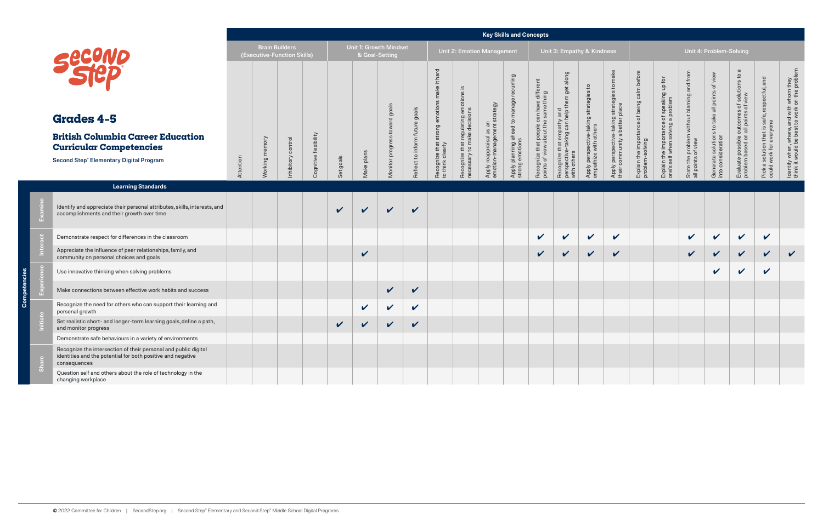|                |                                                                                                                                                |           |                       |                             |                       |              |                                                 |                          |                                |                                                                    |                                                  |                                                        | <b>Key Skills and Concepts</b>                              |                                                                                 |                                                                               |                                                             |                                                                          |                                                                |                                                                                |                                                                  |                                                             |                                                                                   |                                                                          |                                                                                           |
|----------------|------------------------------------------------------------------------------------------------------------------------------------------------|-----------|-----------------------|-----------------------------|-----------------------|--------------|-------------------------------------------------|--------------------------|--------------------------------|--------------------------------------------------------------------|--------------------------------------------------|--------------------------------------------------------|-------------------------------------------------------------|---------------------------------------------------------------------------------|-------------------------------------------------------------------------------|-------------------------------------------------------------|--------------------------------------------------------------------------|----------------------------------------------------------------|--------------------------------------------------------------------------------|------------------------------------------------------------------|-------------------------------------------------------------|-----------------------------------------------------------------------------------|--------------------------------------------------------------------------|-------------------------------------------------------------------------------------------|
|                |                                                                                                                                                |           | <b>Brain Builders</b> | (Executive-Function Skills) |                       |              | <b>Unit 1: Growth Mindset</b><br>& Goal-Setting |                          |                                |                                                                    |                                                  | Unit 2: Emotion Management                             |                                                             |                                                                                 | Unit 3: Empathy & Kindness                                                    |                                                             |                                                                          |                                                                |                                                                                |                                                                  | Unit 4: Problem-Solving                                     |                                                                                   |                                                                          |                                                                                           |
|                |                                                                                                                                                |           |                       |                             |                       |              |                                                 | goals                    |                                | it hard<br>make                                                    | that regulating emotions is<br>to make decisions |                                                        |                                                             |                                                                                 | along<br>get                                                                  | $\mathbf{c}$<br>$\omega$                                    | make                                                                     |                                                                |                                                                                |                                                                  | view<br>đ                                                   | $\sigma$                                                                          |                                                                          |                                                                                           |
|                | <b>Grades 4-5</b>                                                                                                                              |           |                       |                             |                       |              |                                                 |                          |                                |                                                                    |                                                  |                                                        |                                                             |                                                                                 |                                                                               |                                                             |                                                                          |                                                                |                                                                                |                                                                  |                                                             |                                                                                   |                                                                          |                                                                                           |
|                | <b>British Columbia Career Education</b><br><b>Curricular Competencies</b><br><b>Second Step® Elementary Digital Program</b>                   | Attention | Working memory        | control<br>Inhibitory       | Cognitive flexibility | Set goals    | Make plans                                      | woj ses<br>Monitor progr | Reflect to inform future goals | Recognize that strong emotions<br>to think clearly<br>$\mathbf{c}$ | Recognize t<br>necessary t                       | Apply reappraisal as an<br>emotion-management strategy | Apply planning ahead to manage recurring<br>strong emotions | Recognize that people can have different<br>points of view about the same thing | Recognize that empathy and<br>perspective-taking can help them<br>with others | Apply perspective-taking strategie<br>empathize with others | Apply perspective-taking strategies to<br>their community a better place | Explain the importance of being calm before<br>problem-solving | Explain the importance of speaking up for<br>one's self when solving a problem | State the problem without blaming and from<br>all points of view | Generate solutions to take all points<br>into consideration | Evaluate possible outcomes of solutions to<br>problem based on all points of view | Pick a solution that is safe, respectful, and<br>could work for everyone | ldentify when, where, and with whom they<br>think it would be best to work on the problem |
|                | <b>Learning Standards</b>                                                                                                                      |           |                       |                             |                       |              |                                                 |                          |                                |                                                                    |                                                  |                                                        |                                                             |                                                                                 |                                                                               |                                                             |                                                                          |                                                                |                                                                                |                                                                  |                                                             |                                                                                   |                                                                          |                                                                                           |
|                | Identify and appreciate their personal attributes, skills, interests, and<br>accomplishments and their growth over time                        |           |                       |                             |                       | $\mathbf{v}$ | $\mathbf v$                                     | $\mathbf{v}$             | $\boldsymbol{\nu}$             |                                                                    |                                                  |                                                        |                                                             |                                                                                 |                                                                               |                                                             |                                                                          |                                                                |                                                                                |                                                                  |                                                             |                                                                                   |                                                                          |                                                                                           |
|                | Demonstrate respect for differences in the classroom                                                                                           |           |                       |                             |                       |              |                                                 |                          |                                |                                                                    |                                                  |                                                        |                                                             | $\checkmark$                                                                    | $\sqrt{2}$                                                                    | $\checkmark$                                                | $\checkmark$                                                             |                                                                |                                                                                | $\checkmark$                                                     | $\checkmark$                                                | $\boldsymbol{\mathcal{U}}$                                                        | $\checkmark$                                                             |                                                                                           |
|                | Appreciate the influence of peer relationships, family, and<br>community on personal choices and goals                                         |           |                       |                             |                       |              | V                                               |                          |                                |                                                                    |                                                  |                                                        |                                                             | $\checkmark$                                                                    | $\checkmark$                                                                  | $\checkmark$                                                | $\checkmark$                                                             |                                                                |                                                                                | $\checkmark$                                                     | $\checkmark$                                                | $\checkmark$                                                                      | $\checkmark$                                                             | $\checkmark$                                                                              |
|                | Use innovative thinking when solving problems                                                                                                  |           |                       |                             |                       |              |                                                 |                          |                                |                                                                    |                                                  |                                                        |                                                             |                                                                                 |                                                                               |                                                             |                                                                          |                                                                |                                                                                |                                                                  | $\checkmark$                                                | $\checkmark$                                                                      | $\checkmark$                                                             |                                                                                           |
|                | Make connections between effective work habits and success                                                                                     |           |                       |                             |                       |              |                                                 | $\checkmark$             | $\checkmark$                   |                                                                    |                                                  |                                                        |                                                             |                                                                                 |                                                                               |                                                             |                                                                          |                                                                |                                                                                |                                                                  |                                                             |                                                                                   |                                                                          |                                                                                           |
|                | Recognize the need for others who can support their learning and<br>personal growth                                                            |           |                       |                             |                       |              | $\checkmark$                                    | $\checkmark$             | $\checkmark$                   |                                                                    |                                                  |                                                        |                                                             |                                                                                 |                                                                               |                                                             |                                                                          |                                                                |                                                                                |                                                                  |                                                             |                                                                                   |                                                                          |                                                                                           |
|                | Set realistic short- and longer-term learning goals, define a path,<br>and monitor progress                                                    |           |                       |                             |                       | V            | V                                               | V                        | $\boldsymbol{\mathcal{U}}$     |                                                                    |                                                  |                                                        |                                                             |                                                                                 |                                                                               |                                                             |                                                                          |                                                                |                                                                                |                                                                  |                                                             |                                                                                   |                                                                          |                                                                                           |
|                | Demonstrate safe behaviours in a variety of environments                                                                                       |           |                       |                             |                       |              |                                                 |                          |                                |                                                                    |                                                  |                                                        |                                                             |                                                                                 |                                                                               |                                                             |                                                                          |                                                                |                                                                                |                                                                  |                                                             |                                                                                   |                                                                          |                                                                                           |
| $\overline{0}$ | Recognize the intersection of their personal and public digital<br>identities and the potential for both positive and negative<br>consequences |           |                       |                             |                       |              |                                                 |                          |                                |                                                                    |                                                  |                                                        |                                                             |                                                                                 |                                                                               |                                                             |                                                                          |                                                                |                                                                                |                                                                  |                                                             |                                                                                   |                                                                          |                                                                                           |
|                | Question self and others about the role of technology in the<br>changing workplace                                                             |           |                       |                             |                       |              |                                                 |                          |                                |                                                                    |                                                  |                                                        |                                                             |                                                                                 |                                                                               |                                                             |                                                                          |                                                                |                                                                                |                                                                  |                                                             |                                                                                   |                                                                          |                                                                                           |

**Competencies**

ပ္ပြ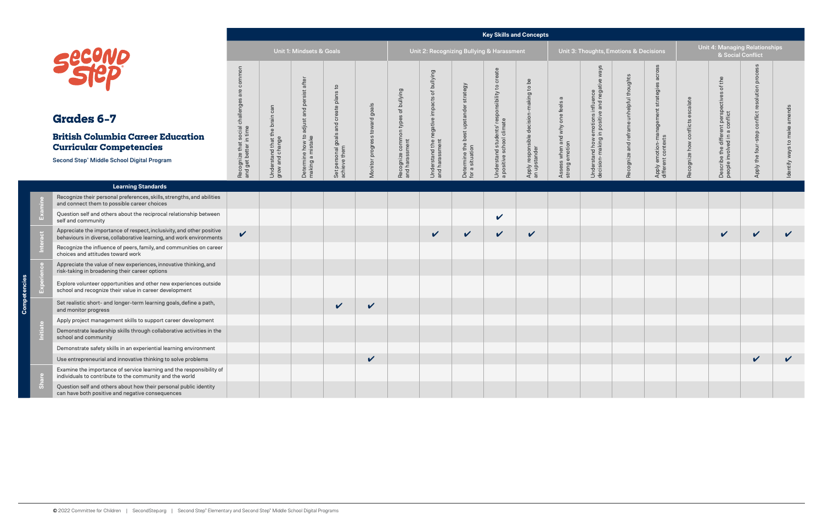# **Grades 6–7**

#### **Key Skills and Concepts**

| <b>Emotions &amp; Decisions</b>          |                                                                  |                                  |                                                                             | Unit 4: Managing Relationships<br>& Social Conflict |                              |
|------------------------------------------|------------------------------------------------------------------|----------------------------------|-----------------------------------------------------------------------------|-----------------------------------------------------|------------------------------|
| Recognize and reframe unhelpful thoughts | Apply emotion-management strategies across<br>different contexts | Recognize how conflicts escalate | Describe the different perspectives of the<br>people involved in a conflict | Apply the four-step conflict resolution process     | Identify ways to make amends |
|                                          |                                                                  |                                  |                                                                             |                                                     |                              |
|                                          |                                                                  |                                  |                                                                             |                                                     |                              |
|                                          |                                                                  |                                  |                                                                             |                                                     |                              |
|                                          |                                                                  |                                  |                                                                             |                                                     |                              |
|                                          |                                                                  |                                  |                                                                             |                                                     |                              |
|                                          |                                                                  |                                  |                                                                             |                                                     |                              |
|                                          |                                                                  |                                  |                                                                             |                                                     |                              |
|                                          |                                                                  |                                  |                                                                             |                                                     |                              |
|                                          |                                                                  |                                  |                                                                             |                                                     |                              |
|                                          |                                                                  |                                  |                                                                             |                                                     |                              |
|                                          |                                                                  |                                  |                                                                             |                                                     |                              |
|                                          |                                                                  |                                  |                                                                             |                                                     |                              |

**Competencies**

**Examine**

|                                                                                                                                                                     |                                                                                |                                                     | Unit 1: Mindsets & Goals                                                        |                                                                |                               |                                                                            |                                                                                              |                                                             | Unit 2: Recognizing Bullying & Harassment                                                     |                                                         |                                                             | Unit 3: Thoughts, Emotions & Decisions                                                               |                                             |                                                                        |                                     | <b>Unit 4: Managing Relationships</b><br>& Social Conflict                                                  |                                                           |                 |
|---------------------------------------------------------------------------------------------------------------------------------------------------------------------|--------------------------------------------------------------------------------|-----------------------------------------------------|---------------------------------------------------------------------------------|----------------------------------------------------------------|-------------------------------|----------------------------------------------------------------------------|----------------------------------------------------------------------------------------------|-------------------------------------------------------------|-----------------------------------------------------------------------------------------------|---------------------------------------------------------|-------------------------------------------------------------|------------------------------------------------------------------------------------------------------|---------------------------------------------|------------------------------------------------------------------------|-------------------------------------|-------------------------------------------------------------------------------------------------------------|-----------------------------------------------------------|-----------------|
| Secure<br><b>Grades 6-7</b><br><b>British Columbia Career Education</b><br><b>Curricular Competencies</b><br>Second Step <sup>®</sup> Middle School Digital Program | common<br>$\omega$<br>Recognize that social challeng<br>and get better in time | can<br>Understand that the brain<br>grow and change | after<br>sist<br>per<br>and<br>adjust<br>Determine how to a<br>making a mistake | personal goals and create plans to<br>ieve them<br>Set<br>achi | Monitor progress toward goals | bullying<br>$\rm ^{+}$<br>ognize common types<br>harassment<br>Reco<br>and | bullying<br>$\frac{1}{\sigma}$<br>cts<br>negative impa<br>Understand the n<br>and harassment | strategy<br>Determine the best upstander<br>for a situation | eate<br>ট<br>$\mathtt{S}$<br>Understand students' responsibility<br>a positive school climate | Apply responsible decision-making to be<br>an upstander | $\sigma$<br>Assess when and why one feels<br>strong emotion | way.<br>nega<br>emotions influence<br>in positive and nega<br>Understand how e<br>decision-making ii | unhelpful thoughts<br>Recognize and reframe | across<br>strategies<br>Apply emotion-management<br>different contexts | escalate<br>Recognize how conflicts | the<br>$\overleftarrow{\mathrm{o}}$<br>Describe the different perspectives<br>people involved in a conflict | oluti<br>5<br>nflict<br>$\bar{o}$<br>four<br>the<br>Apply | nds<br>Identify |
| <b>Learning Standards</b>                                                                                                                                           |                                                                                |                                                     |                                                                                 |                                                                |                               |                                                                            |                                                                                              |                                                             |                                                                                               |                                                         |                                                             |                                                                                                      |                                             |                                                                        |                                     |                                                                                                             |                                                           |                 |
| Recognize their personal preferences, skills, strengths, and abilities<br>and connect them to possible career choices                                               |                                                                                |                                                     |                                                                                 |                                                                |                               |                                                                            |                                                                                              |                                                             |                                                                                               |                                                         |                                                             |                                                                                                      |                                             |                                                                        |                                     |                                                                                                             |                                                           |                 |
| Question self and others about the reciprocal relationship between<br>self and community                                                                            |                                                                                |                                                     |                                                                                 |                                                                |                               |                                                                            |                                                                                              |                                                             | $\checkmark$                                                                                  |                                                         |                                                             |                                                                                                      |                                             |                                                                        |                                     |                                                                                                             |                                                           |                 |
| Appreciate the importance of respect, inclusivity, and other positive<br>behaviours in diverse, collaborative learning, and work environments                       | $\checkmark$                                                                   |                                                     |                                                                                 |                                                                |                               |                                                                            | $\checkmark$                                                                                 | $\checkmark$                                                | $\checkmark$                                                                                  | $\checkmark$                                            |                                                             |                                                                                                      |                                             |                                                                        |                                     | $\checkmark$                                                                                                | $\checkmark$                                              |                 |
| Recognize the influence of peers, family, and communities on career<br>choices and attitudes toward work                                                            |                                                                                |                                                     |                                                                                 |                                                                |                               |                                                                            |                                                                                              |                                                             |                                                                                               |                                                         |                                                             |                                                                                                      |                                             |                                                                        |                                     |                                                                                                             |                                                           |                 |
| Appreciate the value of new experiences, innovative thinking, and<br>risk-taking in broadening their career options                                                 |                                                                                |                                                     |                                                                                 |                                                                |                               |                                                                            |                                                                                              |                                                             |                                                                                               |                                                         |                                                             |                                                                                                      |                                             |                                                                        |                                     |                                                                                                             |                                                           |                 |
| Explore volunteer opportunities and other new experiences outside<br>school and recognize their value in career development                                         |                                                                                |                                                     |                                                                                 |                                                                |                               |                                                                            |                                                                                              |                                                             |                                                                                               |                                                         |                                                             |                                                                                                      |                                             |                                                                        |                                     |                                                                                                             |                                                           |                 |
| Set realistic short- and longer-term learning goals, define a path,<br>and monitor progress                                                                         |                                                                                |                                                     |                                                                                 | $\checkmark$                                                   | $\checkmark$                  |                                                                            |                                                                                              |                                                             |                                                                                               |                                                         |                                                             |                                                                                                      |                                             |                                                                        |                                     |                                                                                                             |                                                           |                 |
| Apply project management skills to support career development                                                                                                       |                                                                                |                                                     |                                                                                 |                                                                |                               |                                                                            |                                                                                              |                                                             |                                                                                               |                                                         |                                                             |                                                                                                      |                                             |                                                                        |                                     |                                                                                                             |                                                           |                 |
| Demonstrate leadership skills through collaborative activities in the<br>school and community                                                                       |                                                                                |                                                     |                                                                                 |                                                                |                               |                                                                            |                                                                                              |                                                             |                                                                                               |                                                         |                                                             |                                                                                                      |                                             |                                                                        |                                     |                                                                                                             |                                                           |                 |
| Demonstrate safety skills in an experiential learning environment                                                                                                   |                                                                                |                                                     |                                                                                 |                                                                |                               |                                                                            |                                                                                              |                                                             |                                                                                               |                                                         |                                                             |                                                                                                      |                                             |                                                                        |                                     |                                                                                                             |                                                           |                 |
| Use entrepreneurial and innovative thinking to solve problems                                                                                                       |                                                                                |                                                     |                                                                                 |                                                                | $\checkmark$                  |                                                                            |                                                                                              |                                                             |                                                                                               |                                                         |                                                             |                                                                                                      |                                             |                                                                        |                                     |                                                                                                             |                                                           |                 |
| Examine the importance of service learning and the responsibility of<br>individuals to contribute to the community and the world                                    |                                                                                |                                                     |                                                                                 |                                                                |                               |                                                                            |                                                                                              |                                                             |                                                                                               |                                                         |                                                             |                                                                                                      |                                             |                                                                        |                                     |                                                                                                             |                                                           |                 |
| Question self and others about how their personal public identity<br>can have both positive and negative consequences                                               |                                                                                |                                                     |                                                                                 |                                                                |                               |                                                                            |                                                                                              |                                                             |                                                                                               |                                                         |                                                             |                                                                                                      |                                             |                                                                        |                                     |                                                                                                             |                                                           |                 |

**Interact**

**Experience**

**Initiate**

**Share**

# **British Columbia Curricular Competency**